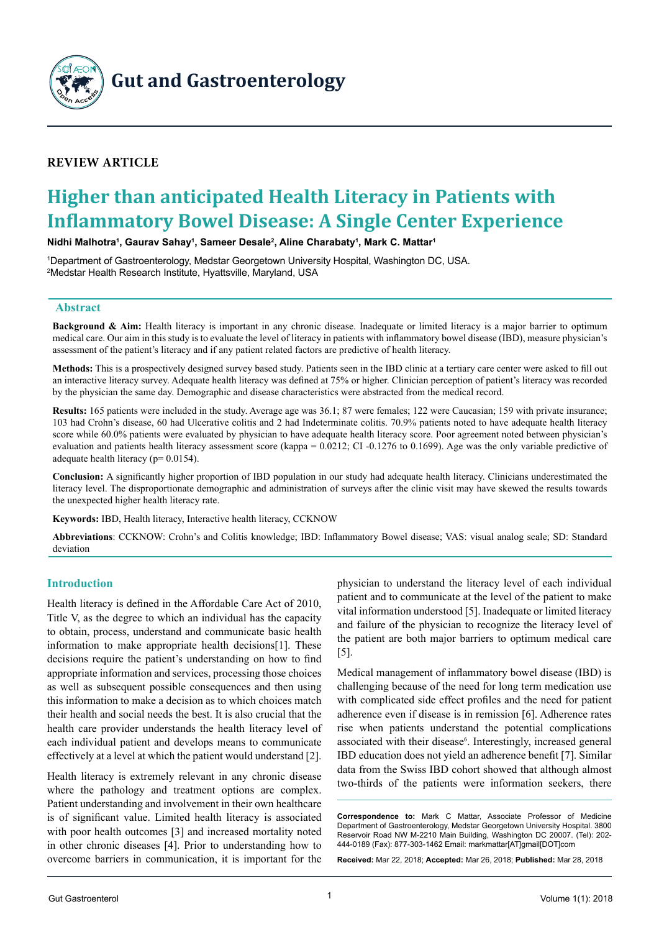

**Gut and Gastroenterology**

# **Review article**

# **Higher than anticipated Health Literacy in Patients with Inflammatory Bowel Disease: A Single Center Experience**

**Nidhi Malhotra1 , Gaurav Sahay1 , Sameer Desale2 , Aline Charabaty1 , Mark C. Mattar1**

1 Department of Gastroenterology, Medstar Georgetown University Hospital, Washington DC, USA. 2 Medstar Health Research Institute, Hyattsville, Maryland, USA

#### **Abstract**

**Background & Aim:** Health literacy is important in any chronic disease. Inadequate or limited literacy is a major barrier to optimum medical care. Our aim in this study is to evaluate the level of literacy in patients with inflammatory bowel disease (IBD), measure physician's assessment of the patient's literacy and if any patient related factors are predictive of health literacy.

**Methods:** This is a prospectively designed survey based study. Patients seen in the IBD clinic at a tertiary care center were asked to fill out an interactive literacy survey. Adequate health literacy was defined at 75% or higher. Clinician perception of patient's literacy was recorded by the physician the same day. Demographic and disease characteristics were abstracted from the medical record.

**Results:** 165 patients were included in the study. Average age was 36.1; 87 were females; 122 were Caucasian; 159 with private insurance; 103 had Crohn's disease, 60 had Ulcerative colitis and 2 had Indeterminate colitis. 70.9% patients noted to have adequate health literacy score while 60.0% patients were evaluated by physician to have adequate health literacy score. Poor agreement noted between physician's evaluation and patients health literacy assessment score (kappa = 0.0212; CI -0.1276 to 0.1699). Age was the only variable predictive of adequate health literacy (p= 0.0154).

**Conclusion:** A significantly higher proportion of IBD population in our study had adequate health literacy. Clinicians underestimated the literacy level. The disproportionate demographic and administration of surveys after the clinic visit may have skewed the results towards the unexpected higher health literacy rate.

**Keywords:** IBD, Health literacy, Interactive health literacy, CCKNOW

**Abbreviations**: CCKNOW: Crohn's and Colitis knowledge; IBD: Inflammatory Bowel disease; VAS: visual analog scale; SD: Standard deviation

# **Introduction**

Health literacy is defined in the Affordable Care Act of 2010, Title V, as the degree to which an individual has the capacity to obtain, process, understand and communicate basic health information to make appropriate health decisions[1]. These decisions require the patient's understanding on how to find appropriate information and services, processing those choices as well as subsequent possible consequences and then using this information to make a decision as to which choices match their health and social needs the best. It is also crucial that the health care provider understands the health literacy level of each individual patient and develops means to communicate effectively at a level at which the patient would understand [2].

Health literacy is extremely relevant in any chronic disease where the pathology and treatment options are complex. Patient understanding and involvement in their own healthcare is of significant value. Limited health literacy is associated with poor health outcomes [3] and increased mortality noted in other chronic diseases [4]. Prior to understanding how to overcome barriers in communication, it is important for the physician to understand the literacy level of each individual patient and to communicate at the level of the patient to make vital information understood [5]. Inadequate or limited literacy and failure of the physician to recognize the literacy level of the patient are both major barriers to optimum medical care [5].

Medical management of inflammatory bowel disease (IBD) is challenging because of the need for long term medication use with complicated side effect profiles and the need for patient adherence even if disease is in remission [6]. Adherence rates rise when patients understand the potential complications associated with their disease<sup>6</sup>. Interestingly, increased general IBD education does not yield an adherence benefit [7]. Similar data from the Swiss IBD cohort showed that although almost two-thirds of the patients were information seekers, there

**Correspondence to:** Mark C Mattar, Associate Professor of Medicine Department of Gastroenterology, Medstar Georgetown University Hospital. 3800 Reservoir Road NW M-2210 Main Building, Washington DC 20007. (Tel): 202- 444-0189 (Fax): 877-303-1462 Email: markmattar[AT]gmail[DOT]com

**Received:** Mar 22, 2018; **Accepted:** Mar 26, 2018; **Published:** Mar 28, 2018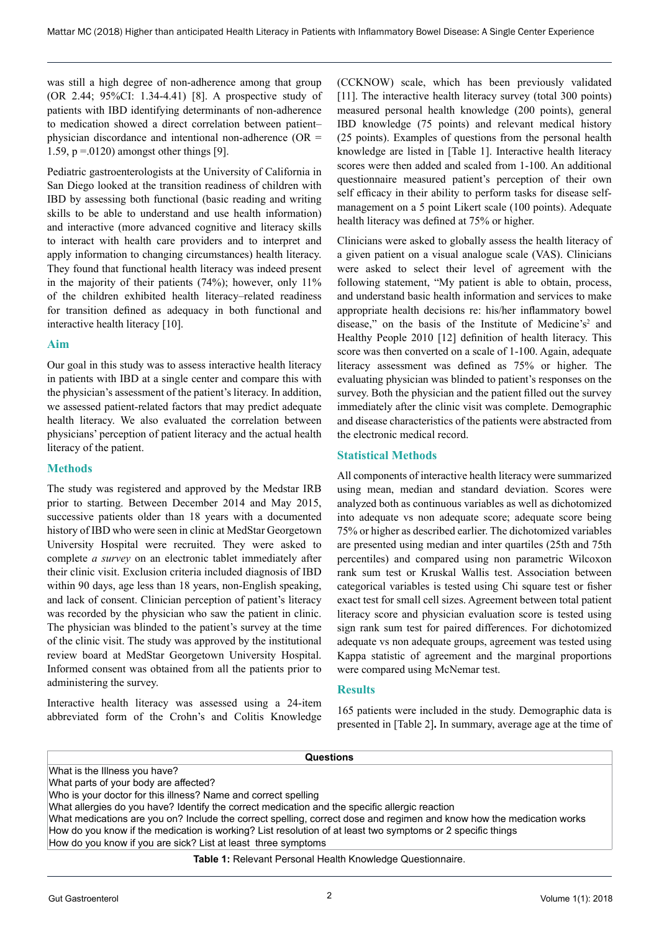was still a high degree of non-adherence among that group (OR 2.44; 95%CI: 1.34-4.41) [8]. A prospective study of patients with IBD identifying determinants of non-adherence to medication showed a direct correlation between patient– physician discordance and intentional non-adherence (OR = 1.59,  $p = 0120$ ) amongst other things [9].

Pediatric gastroenterologists at the University of California in San Diego looked at the transition readiness of children with IBD by assessing both functional (basic reading and writing skills to be able to understand and use health information) and interactive (more advanced cognitive and literacy skills to interact with health care providers and to interpret and apply information to changing circumstances) health literacy. They found that functional health literacy was indeed present in the majority of their patients (74%); however, only 11% of the children exhibited health literacy–related readiness for transition defined as adequacy in both functional and interactive health literacy [10].

#### **Aim**

Our goal in this study was to assess interactive health literacy in patients with IBD at a single center and compare this with the physician's assessment of the patient's literacy. In addition, we assessed patient-related factors that may predict adequate health literacy. We also evaluated the correlation between physicians' perception of patient literacy and the actual health literacy of the patient.

#### **Methods**

The study was registered and approved by the Medstar IRB prior to starting. Between December 2014 and May 2015, successive patients older than 18 years with a documented history of IBD who were seen in clinic at MedStar Georgetown University Hospital were recruited. They were asked to complete *a survey* on an electronic tablet immediately after their clinic visit. Exclusion criteria included diagnosis of IBD within 90 days, age less than 18 years, non-English speaking, and lack of consent. Clinician perception of patient's literacy was recorded by the physician who saw the patient in clinic. The physician was blinded to the patient's survey at the time of the clinic visit. The study was approved by the institutional review board at MedStar Georgetown University Hospital. Informed consent was obtained from all the patients prior to administering the survey.

Interactive health literacy was assessed using a 24-item abbreviated form of the Crohn's and Colitis Knowledge (CCKNOW) scale, which has been previously validated [11]. The interactive health literacy survey (total 300 points) measured personal health knowledge (200 points), general IBD knowledge (75 points) and relevant medical history (25 points). Examples of questions from the personal health knowledge are listed in [Table 1]. Interactive health literacy scores were then added and scaled from 1-100. An additional questionnaire measured patient's perception of their own self efficacy in their ability to perform tasks for disease selfmanagement on a 5 point Likert scale (100 points). Adequate health literacy was defined at 75% or higher.

Clinicians were asked to globally assess the health literacy of a given patient on a visual analogue scale (VAS). Clinicians were asked to select their level of agreement with the following statement, "My patient is able to obtain, process, and understand basic health information and services to make appropriate health decisions re: his/her inflammatory bowel disease," on the basis of the Institute of Medicine's<sup>2</sup> and Healthy People 2010 [12] definition of health literacy. This score was then converted on a scale of 1-100. Again, adequate literacy assessment was defined as 75% or higher. The evaluating physician was blinded to patient's responses on the survey. Both the physician and the patient filled out the survey immediately after the clinic visit was complete. Demographic and disease characteristics of the patients were abstracted from the electronic medical record.

#### **Statistical Methods**

All components of interactive health literacy were summarized using mean, median and standard deviation. Scores were analyzed both as continuous variables as well as dichotomized into adequate vs non adequate score; adequate score being 75% or higher as described earlier. The dichotomized variables are presented using median and inter quartiles (25th and 75th percentiles) and compared using non parametric Wilcoxon rank sum test or Kruskal Wallis test. Association between categorical variables is tested using Chi square test or fisher exact test for small cell sizes. Agreement between total patient literacy score and physician evaluation score is tested using sign rank sum test for paired differences. For dichotomized adequate vs non adequate groups, agreement was tested using Kappa statistic of agreement and the marginal proportions were compared using McNemar test.

#### **Results**

165 patients were included in the study. Demographic data is presented in [Table 2]**.** In summary, average age at the time of

| <b>Questions</b>                                                                                                      |  |  |  |
|-----------------------------------------------------------------------------------------------------------------------|--|--|--|
| What is the Illness you have?                                                                                         |  |  |  |
| What parts of your body are affected?                                                                                 |  |  |  |
| Who is your doctor for this illness? Name and correct spelling                                                        |  |  |  |
| What allergies do you have? Identify the correct medication and the specific allergic reaction                        |  |  |  |
| What medications are you on? Include the correct spelling, correct dose and regimen and know how the medication works |  |  |  |
| How do you know if the medication is working? List resolution of at least two symptoms or 2 specific things           |  |  |  |
| How do you know if you are sick? List at least three symptoms                                                         |  |  |  |
| Table 1: Relevant Research Health Knowledge Questionnaire                                                             |  |  |  |

**Table 1:** Relevant Personal Health Knowledge Questionnaire.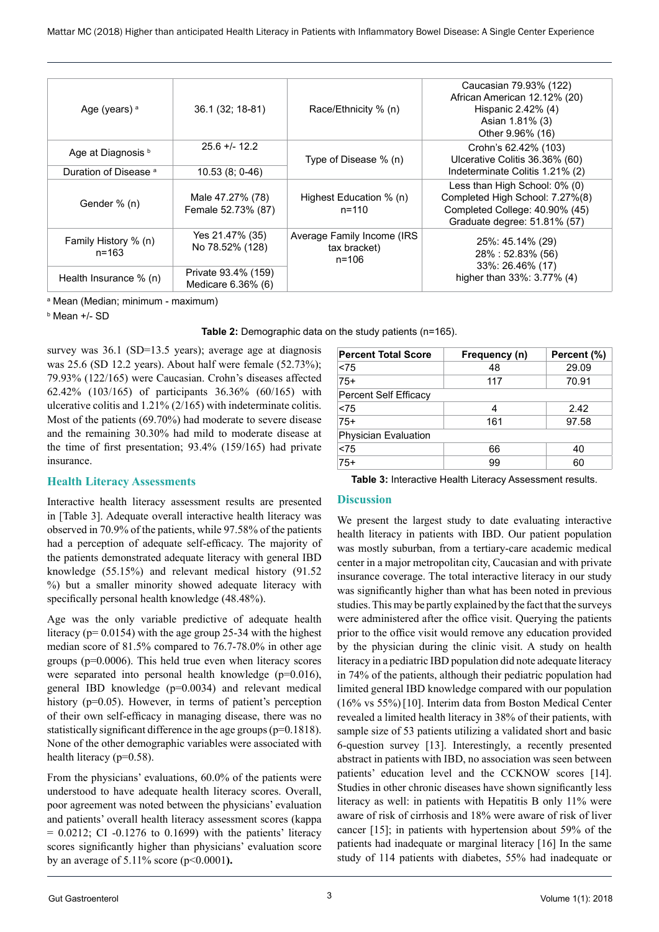| Age (years) <sup>a</sup>          | 36.1 (32; 18-81)                          | Race/Ethnicity % (n)                                    | Caucasian 79.93% (122)<br>African American 12.12% (20)<br>Hispanic 2.42% (4)<br>Asian 1.81% (3)<br>Other 9.96% (16)                |
|-----------------------------------|-------------------------------------------|---------------------------------------------------------|------------------------------------------------------------------------------------------------------------------------------------|
| Age at Diagnosis b                | $25.6 + 12.2$                             | Type of Disease % (n)                                   | Crohn's 62.42% (103)<br>Ulcerative Colitis 36.36% (60)                                                                             |
| Duration of Disease <sup>a</sup>  | $10.53(8; 0-46)$                          |                                                         | Indeterminate Colitis 1.21% (2)                                                                                                    |
| Gender % (n)                      | Male 47.27% (78)<br>Female 52.73% (87)    | Highest Education % (n)<br>$n = 110$                    | Less than High School: 0% (0)<br>Completed High School: 7.27%(8)<br>Completed College: 40.90% (45)<br>Graduate degree: 51.81% (57) |
| Family History % (n)<br>$n = 163$ | Yes 21.47% (35)<br>No 78.52% (128)        | Average Family Income (IRS<br>tax bracket)<br>$n = 106$ | 25%: 45.14% (29)<br>28%: 52.83% (56)<br>33%: 26.46% (17)<br>higher than 33%: 3.77% (4)                                             |
| Health Insurance % (n)            | Private 93.4% (159)<br>Medicare 6.36% (6) |                                                         |                                                                                                                                    |

a Mean (Median; minimum - maximum)

b Mean +/- SD

**Table 2:** Demographic data on the study patients (n=165).

survey was 36.1 (SD=13.5 years); average age at diagnosis was 25.6 (SD 12.2 years). About half were female (52.73%); 79.93% (122/165) were Caucasian. Crohn's diseases affected 62.42% (103/165) of participants 36.36% (60/165) with ulcerative colitis and 1.21% (2/165) with indeterminate colitis. Most of the patients (69.70%) had moderate to severe disease and the remaining 30.30% had mild to moderate disease at the time of first presentation; 93.4% (159/165) had private insurance.

# **Health Literacy Assessments**

Interactive health literacy assessment results are presented in [Table 3]. Adequate overall interactive health literacy was observed in 70.9% of the patients, while 97.58% of the patients had a perception of adequate self-efficacy. The majority of the patients demonstrated adequate literacy with general IBD knowledge (55.15%) and relevant medical history (91.52 %) but a smaller minority showed adequate literacy with specifically personal health knowledge (48.48%).

Age was the only variable predictive of adequate health literacy ( $p= 0.0154$ ) with the age group 25-34 with the highest median score of 81.5% compared to 76.7-78.0% in other age groups (p=0.0006). This held true even when literacy scores were separated into personal health knowledge (p=0.016), general IBD knowledge (p=0.0034) and relevant medical history (p=0.05). However, in terms of patient's perception of their own self-efficacy in managing disease, there was no statistically significant difference in the age groups (p=0.1818). None of the other demographic variables were associated with health literacy (p=0.58).

From the physicians' evaluations, 60.0% of the patients were understood to have adequate health literacy scores. Overall, poor agreement was noted between the physicians' evaluation and patients' overall health literacy assessment scores (kappa  $= 0.0212$ ; CI  $-0.1276$  to 0.1699) with the patients' literacy scores significantly higher than physicians' evaluation score by an average of 5.11% score (p<0.0001**).**

| <b>Percent Total Score</b>   | Frequency (n) | Percent (%) |  |  |
|------------------------------|---------------|-------------|--|--|
| < 75                         | 48            | 29.09       |  |  |
| $75+$                        | 117           | 70.91       |  |  |
| <b>Percent Self Efficacy</b> |               |             |  |  |
| < 75                         | 4             | 2.42        |  |  |
| $75+$                        | 161           | 97.58       |  |  |
| Physician Evaluation         |               |             |  |  |
| < 75                         | 66            | 40          |  |  |
| $75+$                        | 99            | 60          |  |  |

**Table 3:** Interactive Health Literacy Assessment results.

# **Discussion**

We present the largest study to date evaluating interactive health literacy in patients with IBD. Our patient population was mostly suburban, from a tertiary-care academic medical center in a major metropolitan city, Caucasian and with private insurance coverage. The total interactive literacy in our study was significantly higher than what has been noted in previous studies. This may be partly explained by the fact that the surveys were administered after the office visit. Querying the patients prior to the office visit would remove any education provided by the physician during the clinic visit. A study on health literacy in a pediatric IBD population did note adequate literacy in 74% of the patients, although their pediatric population had limited general IBD knowledge compared with our population (16% vs 55%)[10]. Interim data from Boston Medical Center revealed a limited health literacy in 38% of their patients, with sample size of 53 patients utilizing a validated short and basic 6-question survey [13]. Interestingly, a recently presented abstract in patients with IBD, no association was seen between patients' education level and the CCKNOW scores [14]. Studies in other chronic diseases have shown significantly less literacy as well: in patients with Hepatitis B only 11% were aware of risk of cirrhosis and 18% were aware of risk of liver cancer [15]; in patients with hypertension about 59% of the patients had inadequate or marginal literacy [16] In the same study of 114 patients with diabetes, 55% had inadequate or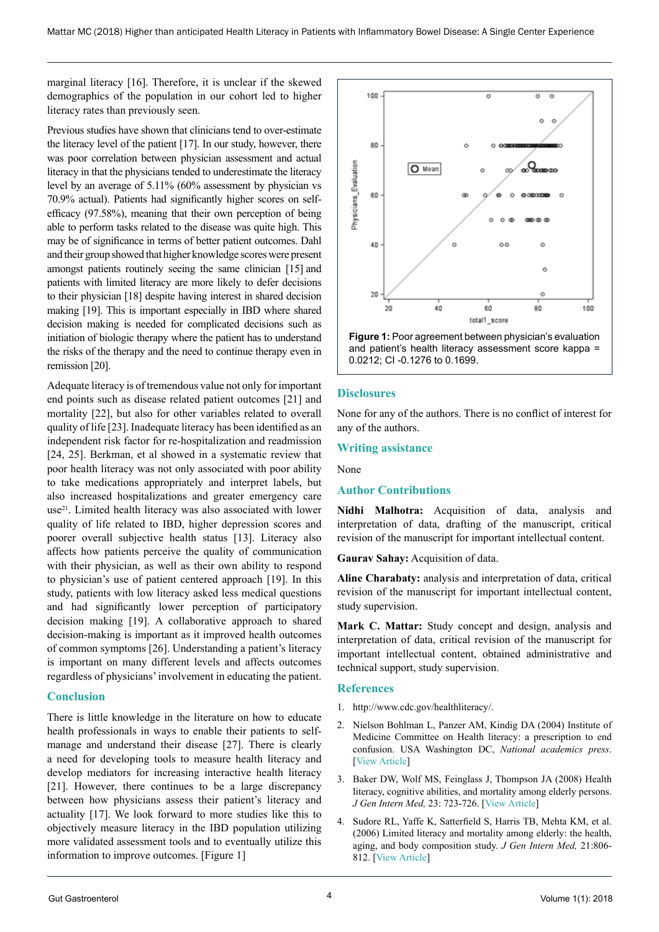marginal literacy [16]. Therefore, it is unclear if the skewed demographics of the population in our cohort led to higher literacy rates than previously seen.

Previous studies have shown that clinicians tend to over-estimate the literacy level of the patient [17]. In our study, however, there was poor correlation between physician assessment and actual literacy in that the physicians tended to underestimate the literacy level by an average of 5.11% (60% assessment by physician vs 70.9% actual). Patients had significantly higher scores on selfefficacy (97.58%), meaning that their own perception of being able to perform tasks related to the disease was quite high. This may be of significance in terms of better patient outcomes. Dahl and their group showed that higher knowledge scores were present amongst patients routinely seeing the same clinician [15] and patients with limited literacy are more likely to defer decisions to their physician [18] despite having interest in shared decision making [19]. This is important especially in IBD where shared decision making is needed for complicated decisions such as initiation of biologic therapy where the patient has to understand the risks of the therapy and the need to continue therapy even in remission [20].

Adequate literacy is of tremendous value not only for important end points such as disease related patient outcomes [21] and mortality [22], but also for other variables related to overall quality of life [23]. Inadequate literacy has been identified as an independent risk factor for re-hospitalization and readmission [24, 25]. Berkman, et al showed in a systematic review that poor health literacy was not only associated with poor ability to take medications appropriately and interpret labels, but also increased hospitalizations and greater emergency care use<sup>21</sup>. Limited health literacy was also associated with lower quality of life related to IBD, higher depression scores and poorer overall subjective health status [13]. Literacy also affects how patients perceive the quality of communication with their physician, as well as their own ability to respond to physician's use of patient centered approach [19]. In this study, patients with low literacy asked less medical questions and had significantly lower perception of participatory decision making [19]. A collaborative approach to shared decision-making is important as it improved health outcomes of common symptoms [26]. Understanding a patient's literacy is important on many different levels and affects outcomes regardless of physicians' involvement in educating the patient.

# **Conclusion**

There is little knowledge in the literature on how to educate health professionals in ways to enable their patients to selfmanage and understand their disease [27]. There is clearly a need for developing tools to measure health literacy and develop mediators for increasing interactive health literacy [21]. However, there continues to be a large discrepancy between how physicians assess their patient's literacy and actuality [17]. We look forward to more studies like this to objectively measure literacy in the IBD population utilizing more validated assessment tools and to eventually utilize this information to improve outcomes. [Figure 1]



**Figure 1:** Poor agreement between physician's evaluation and patient's health literacy assessment score kappa = 0.0212; CI -0.1276 to 0.1699.

# **Disclosures**

None for any of the authors. There is no conflict of interest for any of the authors.

#### **Writing assistance**

None

# **Author Contributions**

**Nidhi Malhotra:** Acquisition of data, analysis and interpretation of data, drafting of the manuscript, critical revision of the manuscript for important intellectual content.

**Gaurav Sahay:** Acquisition of data.

**Aline Charabaty:** analysis and interpretation of data, critical revision of the manuscript for important intellectual content, study supervision.

**Mark C. Mattar:** Study concept and design, analysis and interpretation of data, critical revision of the manuscript for important intellectual content, obtained administrative and technical support, study supervision.

# **References**

- 1. [http://www.cdc.gov/healthliteracy/.](http://www.cdc.gov/healthliteracy/)
- 2. Nielson Bohlman L, Panzer AM, Kindig DA (2004) Institute of Medicine Committee on Health literacy: a prescription to end confusion. USA Washington DC, *National academics press*. [[View Article\]](http://www.nejm.org/doi/full/10.1056/NEJM200503033520926)
- 3. Baker DW, Wolf MS, Feinglass J, Thompson JA (2008) Health literacy, cognitive abilities, and mortality among elderly persons. *J Gen Intern Med,* 23: 723-726. [\[View Article](https://www.ncbi.nlm.nih.gov/pmc/articles/PMC2517873/)]
- 4. Sudore RL, Yaffe K, Satterfield S, Harris TB, Mehta KM, et al. (2006) Limited literacy and mortality among elderly: the health, aging, and body composition study. *J Gen Intern Med,* 21:806- 812. [[View Article\]](https://www.ncbi.nlm.nih.gov/pubmed/16881938)